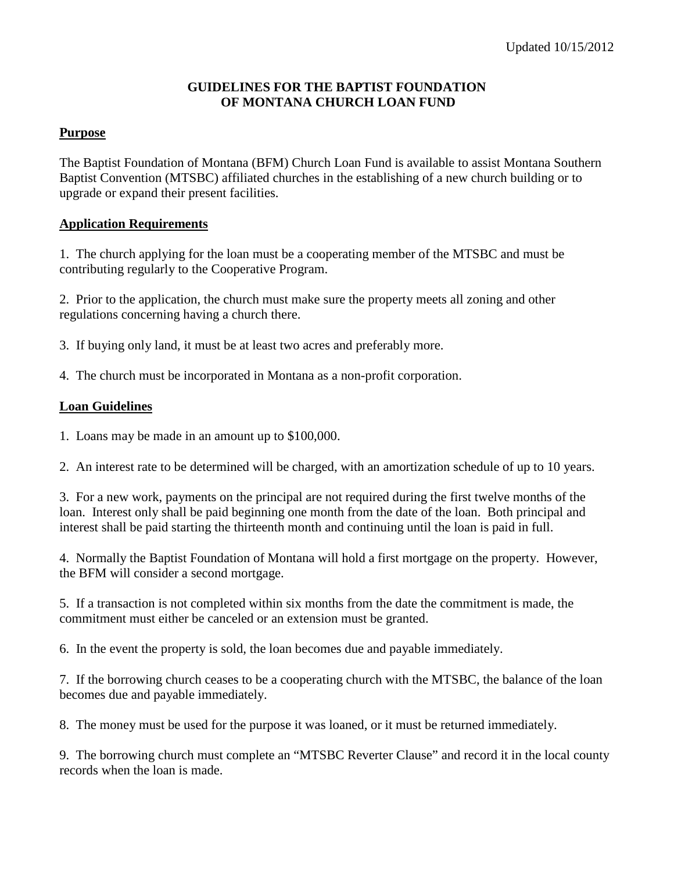### **GUIDELINES FOR THE BAPTIST FOUNDATION OF MONTANA CHURCH LOAN FUND**

## **Purpose**

The Baptist Foundation of Montana (BFM) Church Loan Fund is available to assist Montana Southern Baptist Convention (MTSBC) affiliated churches in the establishing of a new church building or to upgrade or expand their present facilities.

## **Application Requirements**

1. The church applying for the loan must be a cooperating member of the MTSBC and must be contributing regularly to the Cooperative Program.

2. Prior to the application, the church must make sure the property meets all zoning and other regulations concerning having a church there.

3. If buying only land, it must be at least two acres and preferably more.

4. The church must be incorporated in Montana as a non-profit corporation.

## **Loan Guidelines**

1. Loans may be made in an amount up to \$100,000.

2. An interest rate to be determined will be charged, with an amortization schedule of up to 10 years.

3. For a new work, payments on the principal are not required during the first twelve months of the loan. Interest only shall be paid beginning one month from the date of the loan. Both principal and interest shall be paid starting the thirteenth month and continuing until the loan is paid in full.

4. Normally the Baptist Foundation of Montana will hold a first mortgage on the property. However, the BFM will consider a second mortgage.

5. If a transaction is not completed within six months from the date the commitment is made, the commitment must either be canceled or an extension must be granted.

6. In the event the property is sold, the loan becomes due and payable immediately.

7. If the borrowing church ceases to be a cooperating church with the MTSBC, the balance of the loan becomes due and payable immediately.

8. The money must be used for the purpose it was loaned, or it must be returned immediately.

9. The borrowing church must complete an "MTSBC Reverter Clause" and record it in the local county records when the loan is made.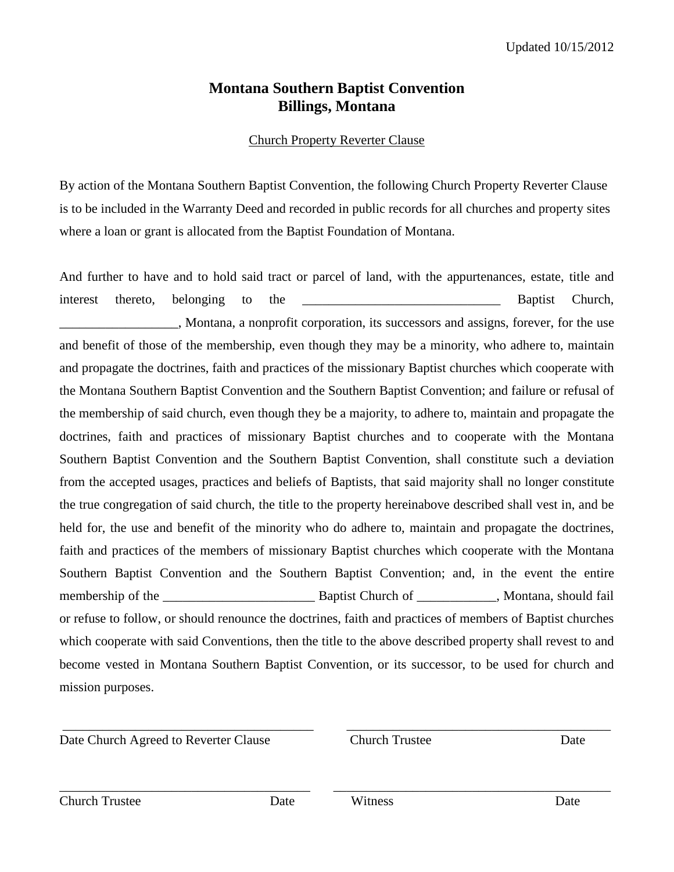# **Montana Southern Baptist Convention Billings, Montana**

# Church Property Reverter Clause

By action of the Montana Southern Baptist Convention, the following Church Property Reverter Clause is to be included in the Warranty Deed and recorded in public records for all churches and property sites where a loan or grant is allocated from the Baptist Foundation of Montana.

And further to have and to hold said tract or parcel of land, with the appurtenances, estate, title and interest thereto, belonging to the \_\_\_\_\_\_\_\_\_\_\_\_\_\_\_\_\_\_\_\_\_\_\_\_\_\_\_\_\_\_ Baptist Church, \_\_\_\_\_\_\_\_\_\_\_\_\_\_\_\_\_\_, Montana, a nonprofit corporation, its successors and assigns, forever, for the use and benefit of those of the membership, even though they may be a minority, who adhere to, maintain and propagate the doctrines, faith and practices of the missionary Baptist churches which cooperate with the Montana Southern Baptist Convention and the Southern Baptist Convention; and failure or refusal of the membership of said church, even though they be a majority, to adhere to, maintain and propagate the doctrines, faith and practices of missionary Baptist churches and to cooperate with the Montana Southern Baptist Convention and the Southern Baptist Convention, shall constitute such a deviation from the accepted usages, practices and beliefs of Baptists, that said majority shall no longer constitute the true congregation of said church, the title to the property hereinabove described shall vest in, and be held for, the use and benefit of the minority who do adhere to, maintain and propagate the doctrines, faith and practices of the members of missionary Baptist churches which cooperate with the Montana Southern Baptist Convention and the Southern Baptist Convention; and, in the event the entire membership of the \_\_\_\_\_\_\_\_\_\_\_\_\_\_\_\_\_\_\_\_\_\_\_ Baptist Church of \_\_\_\_\_\_\_\_\_\_\_\_, Montana, should fail or refuse to follow, or should renounce the doctrines, faith and practices of members of Baptist churches which cooperate with said Conventions, then the title to the above described property shall revest to and become vested in Montana Southern Baptist Convention, or its successor, to be used for church and mission purposes.

\_\_\_\_\_\_\_\_\_\_\_\_\_\_\_\_\_\_\_\_\_\_\_\_\_\_\_\_\_\_\_\_\_\_\_\_\_\_ \_\_\_\_\_\_\_\_\_\_\_\_\_\_\_\_\_\_\_\_\_\_\_\_\_\_\_\_\_\_\_\_\_\_\_\_\_\_\_\_

\_\_\_\_\_\_\_\_\_\_\_\_\_\_\_\_\_\_\_\_\_\_\_\_\_\_\_\_\_\_\_\_\_\_\_\_\_\_ \_\_\_\_\_\_\_\_\_\_\_\_\_\_\_\_\_\_\_\_\_\_\_\_\_\_\_\_\_\_\_\_\_\_\_\_\_\_\_\_\_\_

Date Church Agreed to Reverter Clause Church Trustee Date